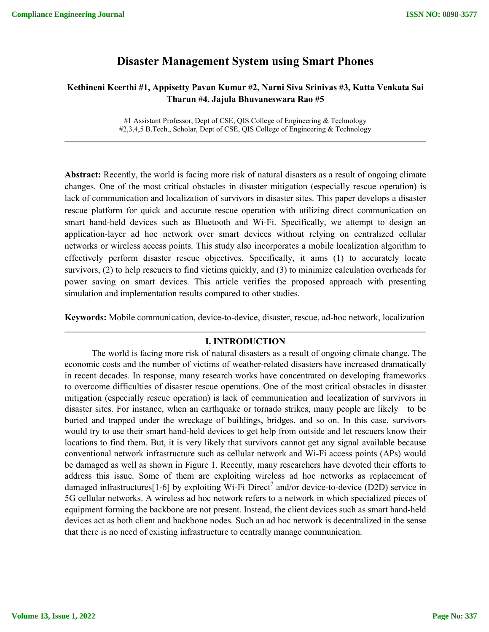# **Disaster Management System using Smart Phones**

## **Kethineni Keerthi #1, Appisetty Pavan Kumar #2, Narni Siva Srinivas #3, Katta Venkata Sai Tharun #4, Jajula Bhuvaneswara Rao #5**

#1 Assistant Professor, Dept of CSE, QIS College of Engineering & Technology #2,3,4,5 B.Tech., Scholar, Dept of CSE, QIS College of Engineering & Technology

**Abstract:** Recently, the world is facing more risk of natural disasters as a result of ongoing climate changes. One of the most critical obstacles in disaster mitigation (especially rescue operation) is lack of communication and localization of survivors in disaster sites. This paper develops a disaster rescue platform for quick and accurate rescue operation with utilizing direct communication on smart hand-held devices such as Bluetooth and Wi-Fi. Specifically, we attempt to design an application-layer ad hoc network over smart devices without relying on centralized cellular networks or wireless access points. This study also incorporates a mobile localization algorithm to effectively perform disaster rescue objectives. Specifically, it aims (1) to accurately locate survivors, (2) to help rescuers to find victims quickly, and (3) to minimize calculation overheads for power saving on smart devices. This article verifies the proposed approach with presenting simulation and implementation results compared to other studies.

**Keywords:** Mobile communication, device-to-device, disaster, rescue, ad-hoc network, localization

### **I. INTRODUCTION**

The world is facing more risk of natural disasters as a result of ongoing climate change. The economic costs and the number of victims of weather-related disasters have increased dramatically in recent decades. In response, many research works have concentrated on developing frameworks to overcome difficulties of disaster rescue operations. One of the most critical obstacles in disaster mitigation (especially rescue operation) is lack of communication and localization of survivors in disaster sites. For instance, when an earthquake or tornado strikes, many people are likely to be buried and trapped under the wreckage of buildings, bridges, and so on. In this case, survivors would try to use their smart hand-held devices to get help from outside and let rescuers know their locations to find them. But, it is very likely that survivors cannot get any signal available because conventional network infrastructure such as cellular network and Wi-Fi access points (APs) would be damaged as well as shown in Figure 1. Recently, many researchers have devoted their efforts to address this issue. Some of them are exploiting wireless ad hoc networks as replacement of damaged infrastructures<sup>[1-6]</sup> by exploiting Wi-Fi Direct<sup>7</sup> and/or device-to-device (D2D) service in 5G cellular networks. A wireless ad hoc network refers to a network in which specialized pieces of equipment forming the backbone are not present. Instead, the client devices such as smart hand-held devices act as both client and backbone nodes. Such an ad hoc network is decentralized in the sense that there is no need of existing infrastructure to centrally manage communication.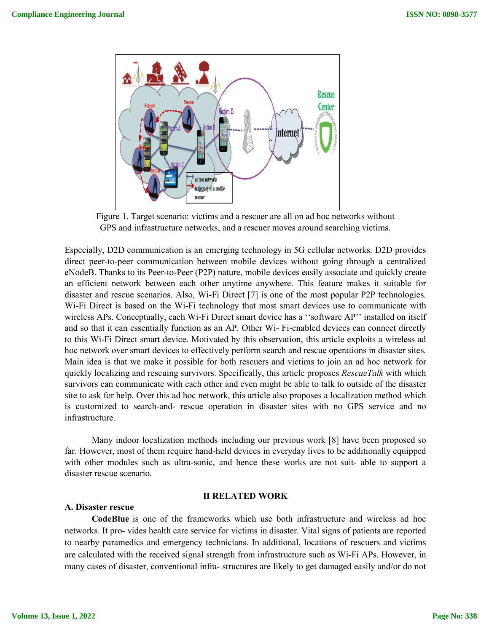

Figure 1. Target scenario: victims and a rescuer are all on ad hoc networks without GPS and infrastructure networks, and a rescuer moves around searching victims.

Especially, D2D communication is an emerging technology in 5G cellular networks. D2D provides direct peer-to-peer communication between mobile devices without going through a centralized eNodeB. Thanks to its Peer-to-Peer (P2P) nature, mobile devices easily associate and quickly create an efficient network between each other anytime anywhere. This feature makes it suitable for disaster and rescue scenarios. Also, Wi-Fi Direct [7] is one of the most popular P2P technologies. Wi-Fi Direct is based on the Wi-Fi technology that most smart devices use to communicate with wireless APs. Conceptually, each Wi-Fi Direct smart device has a ''software AP'' installed on itself and so that it can essentially function as an AP. Other Wi- Fi-enabled devices can connect directly to this Wi-Fi Direct smart device. Motivated by this observation, this article exploits a wireless ad hoc network over smart devices to effectively perform search and rescue operations in disaster sites. Main idea is that we make it possible for both rescuers and victims to join an ad hoc network for quickly localizing and rescuing survivors. Specifically, this article proposes *RescueTalk* with which survivors can communicate with each other and even might be able to talk to outside of the disaster site to ask for help. Over this ad hoc network, this article also proposes a localization method which is customized to search-and- rescue operation in disaster sites with no GPS service and no infrastructure.

Many indoor localization methods including our previous work [8] have been proposed so far. However, most of them require hand-held devices in everyday lives to be additionally equipped with other modules such as ultra-sonic, and hence these works are not suit- able to support a disaster rescue scenario.

### **II RELATED WORK**

#### **A. Disaster rescue**

**CodeBlue** is one of the frameworks which use both infrastructure and wireless ad hoc networks. It pro- vides health care service for victims in disaster. Vital signs of patients are reported to nearby paramedics and emergency technicians. In additional, locations of rescuers and victims are calculated with the received signal strength from infrastructure such as Wi-Fi APs. However, in many cases of disaster, conventional infra- structures are likely to get damaged easily and/or do not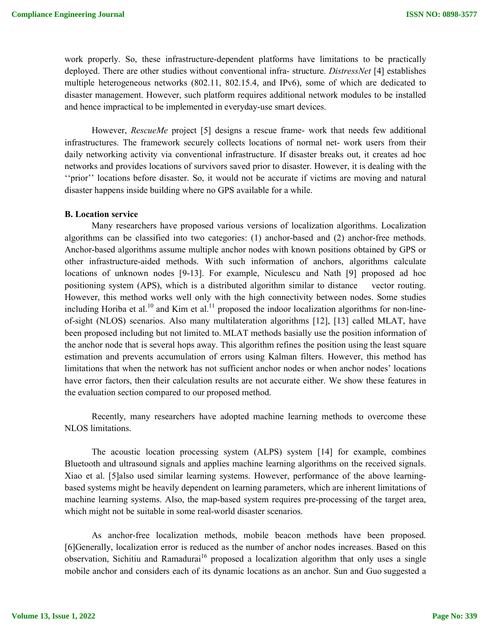work properly. So, these infrastructure-dependent platforms have limitations to be practically deployed. There are other studies without conventional infra- structure. *DistressNet* [4] establishes multiple heterogeneous networks (802.11, 802.15.4, and IPv6), some of which are dedicated to disaster management. However, such platform requires additional network modules to be installed and hence impractical to be implemented in everyday-use smart devices.

However, *RescueMe* project [5] designs a rescue frame- work that needs few additional infrastructures. The framework securely collects locations of normal net- work users from their daily networking activity via conventional infrastructure. If disaster breaks out, it creates ad hoc networks and provides locations of survivors saved prior to disaster. However, it is dealing with the "prior" locations before disaster. So, it would not be accurate if victims are moving and natural disaster happens inside building where no GPS available for a while.

#### **B. Location service**

Many researchers have proposed various versions of localization algorithms. Localization algorithms can be classified into two categories: (1) anchor-based and (2) anchor-free methods. Anchor-based algorithms assume multiple anchor nodes with known positions obtained by GPS or other infrastructure-aided methods. With such information of anchors, algorithms calculate locations of unknown nodes [9-13]. For example, Niculescu and Nath [9] proposed ad hoc positioning system (APS), which is a distributed algorithm similar to distance vector routing. However, this method works well only with the high connectivity between nodes. Some studies including Horiba et al.<sup>10</sup> and Kim et al.<sup>11</sup> proposed the indoor localization algorithms for non-lineof-sight (NLOS) scenarios. Also many multilateration algorithms [12], [13] called MLAT, have been proposed including but not limited to. MLAT methods basially use the position information of the anchor node that is several hops away. This algorithm refines the position using the least square estimation and prevents accumulation of errors using Kalman filters. However, this method has limitations that when the network has not sufficient anchor nodes or when anchor nodes' locations have error factors, then their calculation results are not accurate either. We show these features in the evaluation section compared to our proposed method.

Recently, many researchers have adopted machine learning methods to overcome these NLOS limitations.

The acoustic location processing system (ALPS) system [14] for example, combines Bluetooth and ultrasound signals and applies machine learning algorithms on the received signals. Xiao et al. [5]also used similar learning systems. However, performance of the above learningbased systems might be heavily dependent on learning parameters, which are inherent limitations of machine learning systems. Also, the map-based system requires pre-processing of the target area, which might not be suitable in some real-world disaster scenarios.

As anchor-free localization methods, mobile beacon methods have been proposed. [6]Generally, localization error is reduced as the number of anchor nodes increases. Based on this observation, Sichitiu and Ramadurai<sup>16</sup> proposed a localization algorithm that only uses a single mobile anchor and considers each of its dynamic locations as an anchor. Sun and Guo suggested a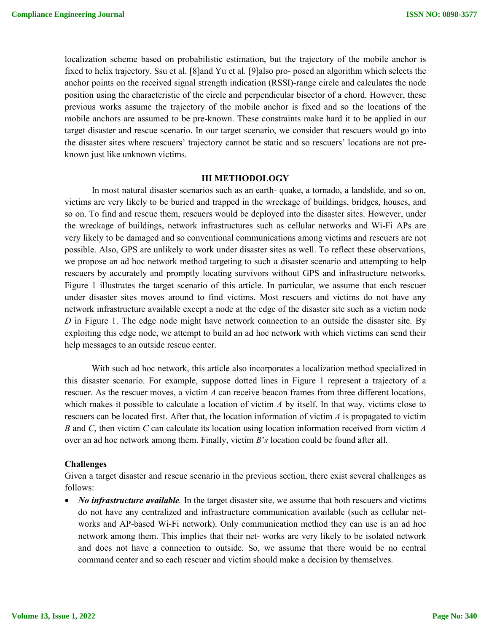localization scheme based on probabilistic estimation, but the trajectory of the mobile anchor is fixed to helix trajectory. Ssu et al. [8]and Yu et al. [9]also pro- posed an algorithm which selects the anchor points on the received signal strength indication (RSSI)-range circle and calculates the node position using the characteristic of the circle and perpendicular bisector of a chord. However, these previous works assume the trajectory of the mobile anchor is fixed and so the locations of the mobile anchors are assumed to be pre-known. These constraints make hard it to be applied in our target disaster and rescue scenario. In our target scenario, we consider that rescuers would go into the disaster sites where rescuers' trajectory cannot be static and so rescuers' locations are not preknown just like unknown victims.

#### **III METHODOLOGY**

In most natural disaster scenarios such as an earth- quake, a tornado, a landslide, and so on, victims are very likely to be buried and trapped in the wreckage of buildings, bridges, houses, and so on. To find and rescue them, rescuers would be deployed into the disaster sites. However, under the wreckage of buildings, network infrastructures such as cellular networks and Wi-Fi APs are very likely to be damaged and so conventional communications among victims and rescuers are not possible. Also, GPS are unlikely to work under disaster sites as well. To reflect these observations, we propose an ad hoc network method targeting to such a disaster scenario and attempting to help rescuers by accurately and promptly locating survivors without GPS and infrastructure networks. Figure 1 illustrates the target scenario of this article. In particular, we assume that each rescuer under disaster sites moves around to find victims. Most rescuers and victims do not have any network infrastructure available except a node at the edge of the disaster site such as a victim node *D* in Figure 1. The edge node might have network connection to an outside the disaster site. By exploiting this edge node, we attempt to build an ad hoc network with which victims can send their help messages to an outside rescue center.

With such ad hoc network, this article also incorporates a localization method specialized in this disaster scenario. For example, suppose dotted lines in Figure 1 represent a trajectory of a rescuer. As the rescuer moves, a victim *A* can receive beacon frames from three different locations, which makes it possible to calculate a location of victim *A* by itself. In that way, victims close to rescuers can be located first. After that, the location information of victim *A* is propagated to victim *B* and *C*, then victim *C* can calculate its location using location information received from victim *A*  over an ad hoc network among them. Finally, victim *B*'*s* location could be found after all.

#### **Challenges**

Given a target disaster and rescue scenario in the previous section, there exist several challenges as follows:

• *No infrastructure available*. In the target disaster site, we assume that both rescuers and victims do not have any centralized and infrastructure communication available (such as cellular networks and AP-based Wi-Fi network). Only communication method they can use is an ad hoc network among them. This implies that their net- works are very likely to be isolated network and does not have a connection to outside. So, we assume that there would be no central command center and so each rescuer and victim should make a decision by themselves.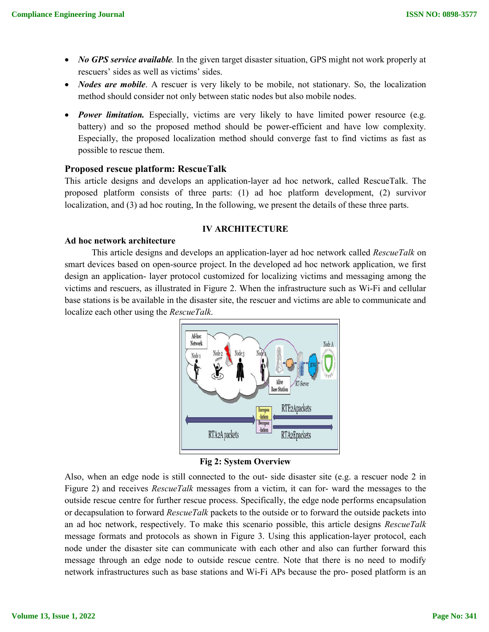- *No GPS service available.* In the given target disaster situation, GPS might not work properly at rescuers' sides as well as victims' sides.
- *Nodes are mobile*. A rescuer is very likely to be mobile, not stationary. So, the localization method should consider not only between static nodes but also mobile nodes.
- *Power limitation.* Especially, victims are very likely to have limited power resource (e.g. battery) and so the proposed method should be power-efficient and have low complexity. Especially, the proposed localization method should converge fast to find victims as fast as possible to rescue them.

## **Proposed rescue platform: RescueTalk**

This article designs and develops an application-layer ad hoc network, called RescueTalk. The proposed platform consists of three parts: (1) ad hoc platform development, (2) survivor localization, and (3) ad hoc routing, In the following, we present the details of these three parts.

### **IV ARCHITECTURE**

### **Ad hoc network architecture**

This article designs and develops an application-layer ad hoc network called *RescueTalk* on smart devices based on open-source project. In the developed ad hoc network application, we first design an application- layer protocol customized for localizing victims and messaging among the victims and rescuers, as illustrated in Figure 2. When the infrastructure such as Wi-Fi and cellular base stations is be available in the disaster site, the rescuer and victims are able to communicate and localize each other using the *RescueTalk*.



## **Fig 2: System Overview**

Also, when an edge node is still connected to the out- side disaster site (e.g. a rescuer node 2 in Figure 2) and receives *RescueTalk* messages from a victim, it can for- ward the messages to the outside rescue centre for further rescue process. Specifically, the edge node performs encapsulation or decapsulation to forward *RescueTalk* packets to the outside or to forward the outside packets into an ad hoc network, respectively. To make this scenario possible, this article designs *RescueTalk*  message formats and protocols as shown in Figure 3. Using this application-layer protocol, each node under the disaster site can communicate with each other and also can further forward this message through an edge node to outside rescue centre. Note that there is no need to modify network infrastructures such as base stations and Wi-Fi APs because the pro- posed platform is an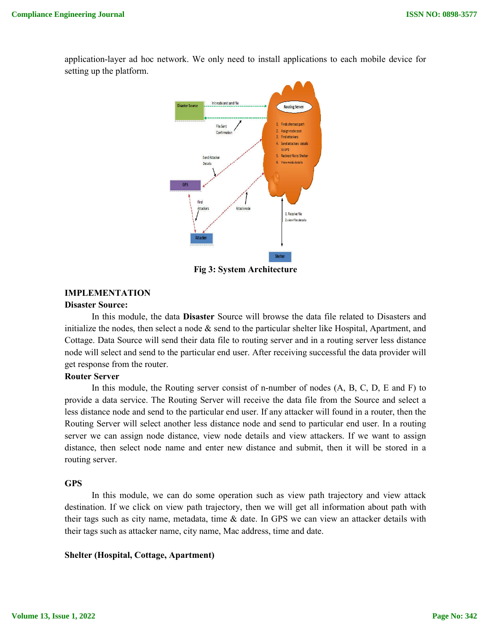Init node and send f **Disaster Source Routing Server** Finds shortest pat File Sent Assign node cost Confirmation Find attackers Send attackers details to GPS 5. Redirect file to Shelte Send Attacke 6. View node details Details Attack nod 1 Receive file 2.view file details

application-layer ad hoc network. We only need to install applications to each mobile device for setting up the platform.

**Fig 3: System Architecture**

## **IMPLEMENTATION**

#### **Disaster Source:**

In this module, the data **Disaster** Source will browse the data file related to Disasters and initialize the nodes, then select a node  $\&$  send to the particular shelter like Hospital, Apartment, and Cottage. Data Source will send their data file to routing server and in a routing server less distance node will select and send to the particular end user. After receiving successful the data provider will get response from the router.

#### **Router Server**

In this module, the Routing server consist of n-number of nodes (A, B, C, D, E and F) to provide a data service. The Routing Server will receive the data file from the Source and select a less distance node and send to the particular end user. If any attacker will found in a router, then the Routing Server will select another less distance node and send to particular end user. In a routing server we can assign node distance, view node details and view attackers. If we want to assign distance, then select node name and enter new distance and submit, then it will be stored in a routing server.

### **GPS**

In this module, we can do some operation such as view path trajectory and view attack destination. If we click on view path trajectory, then we will get all information about path with their tags such as city name, metadata, time & date. In GPS we can view an attacker details with their tags such as attacker name, city name, Mac address, time and date.

### **Shelter (Hospital, Cottage, Apartment)**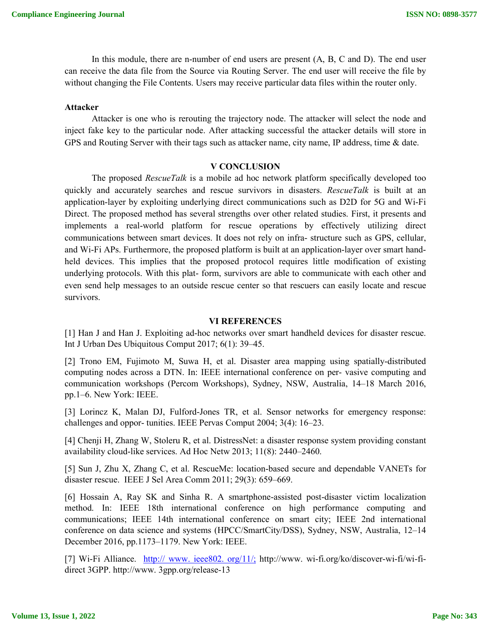In this module, there are n-number of end users are present (A, B, C and D). The end user can receive the data file from the Source via Routing Server. The end user will receive the file by without changing the File Contents. Users may receive particular data files within the router only.

#### **Attacker**

Attacker is one who is rerouting the trajectory node. The attacker will select the node and inject fake key to the particular node. After attacking successful the attacker details will store in GPS and Routing Server with their tags such as attacker name, city name, IP address, time & date.

### **V CONCLUSION**

The proposed *RescueTalk* is a mobile ad hoc network platform specifically developed too quickly and accurately searches and rescue survivors in disasters. *RescueTalk* is built at an application-layer by exploiting underlying direct communications such as D2D for 5G and Wi-Fi Direct. The proposed method has several strengths over other related studies. First, it presents and implements a real-world platform for rescue operations by effectively utilizing direct communications between smart devices. It does not rely on infra- structure such as GPS, cellular, and Wi-Fi APs. Furthermore, the proposed platform is built at an application-layer over smart handheld devices. This implies that the proposed protocol requires little modification of existing underlying protocols. With this plat- form, survivors are able to communicate with each other and even send help messages to an outside rescue center so that rescuers can easily locate and rescue survivors.

#### **VI REFERENCES**

[1] Han J and Han J. Exploiting ad-hoc networks over smart handheld devices for disaster rescue. Int J Urban Des Ubiquitous Comput 2017; 6(1): 39–45.

[2] Trono EM, Fujimoto M, Suwa H, et al. Disaster area mapping using spatially-distributed computing nodes across a DTN. In: IEEE international conference on per- vasive computing and communication workshops (Percom Workshops), Sydney, NSW, Australia, 14–18 March 2016, pp.1–6. New York: IEEE.

[3] Lorincz K, Malan DJ, Fulford-Jones TR, et al. Sensor networks for emergency response: challenges and oppor- tunities. IEEE Pervas Comput 2004; 3(4): 16–23.

[4] Chenji H, Zhang W, Stoleru R, et al. DistressNet: a disaster response system providing constant availability cloud-like services. Ad Hoc Netw 2013; 11(8): 2440–2460.

[5] Sun J, Zhu X, Zhang C, et al. RescueMe: location-based secure and dependable VANETs for disaster rescue. IEEE J Sel Area Comm 2011; 29(3): 659–669.

[6] Hossain A, Ray SK and Sinha R. A smartphone-assisted post-disaster victim localization method. In: IEEE 18th international conference on high performance computing and communications; IEEE 14th international conference on smart city; IEEE 2nd international conference on data science and systems (HPCC/SmartCity/DSS), Sydney, NSW, Australia, 12–14 December 2016, pp.1173–1179. New York: IEEE.

[7] Wi-Fi Alliance. http:// www. ieee802. org/11/; http://www. wi-fi.org/ko/discover-wi-fi/wi-fidirect 3GPP. http://www. 3gpp.org/release-13